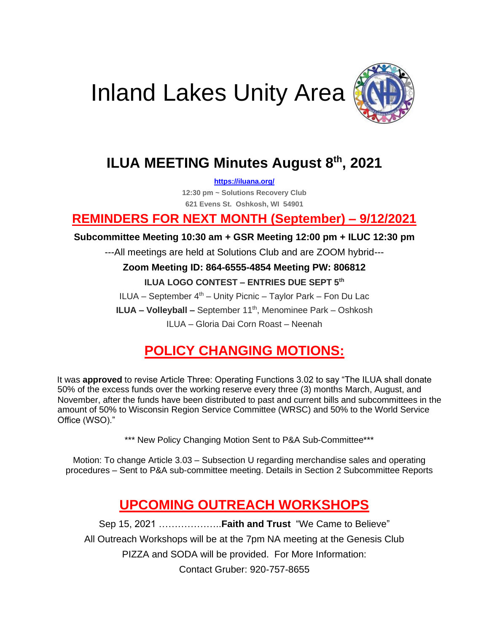



### **ILUA MEETING Minutes August 8th , 2021**

**<https://iluana.org/>**

**12:30 pm ~ Solutions Recovery Club 621 Evens St. Oshkosh, WI 54901**

#### **REMINDERS FOR NEXT MONTH (September) – 9/12/2021**

#### **Subcommittee Meeting 10:30 am + GSR Meeting 12:00 pm + ILUC 12:30 pm**

---All meetings are held at Solutions Club and are ZOOM hybrid---

#### **Zoom Meeting ID: 864-6555-4854 Meeting PW: 806812**

#### **ILUA LOGO CONTEST – ENTRIES DUE SEPT 5th**

ILUA – September  $4<sup>th</sup>$  – Unity Picnic – Taylor Park – Fon Du Lac **ILUA – Volleyball –** September 11<sup>th</sup>, Menominee Park – Oshkosh ILUA – Gloria Dai Corn Roast – Neenah

### **POLICY CHANGING MOTIONS:**

It was **approved** to revise Article Three: Operating Functions 3.02 to say "The ILUA shall donate 50% of the excess funds over the working reserve every three (3) months March, August, and November, after the funds have been distributed to past and current bills and subcommittees in the amount of 50% to Wisconsin Region Service Committee (WRSC) and 50% to the World Service Office (WSO)."

\*\*\* New Policy Changing Motion Sent to P&A Sub-Committee\*\*\*

Motion: To change Article 3.03 – Subsection U regarding merchandise sales and operating procedures – Sent to P&A sub-committee meeting. Details in Section 2 Subcommittee Reports

### **UPCOMING OUTREACH WORKSHOPS**

Sep 15, 2021 ………………..**Faith and Trust** "We Came to Believe" All Outreach Workshops will be at the 7pm NA meeting at the Genesis Club PIZZA and SODA will be provided. For More Information: Contact Gruber: 920-757-8655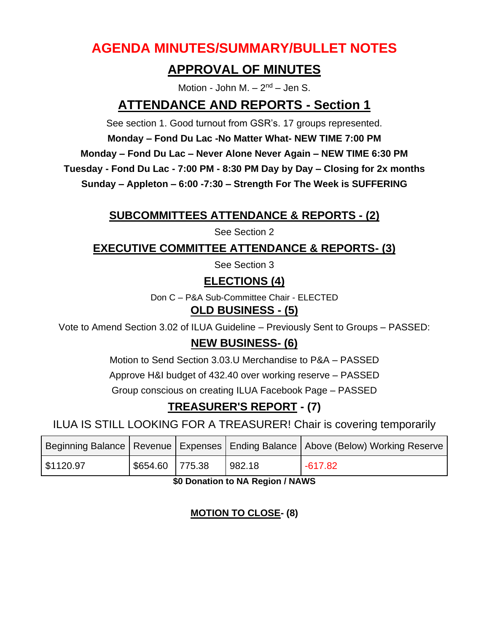### **AGENDA MINUTES/SUMMARY/BULLET NOTES**

#### **APPROVAL OF MINUTES**

Motion - John M.  $- 2<sup>nd</sup> -$  Jen S.

#### **ATTENDANCE AND REPORTS - Section 1**

See section 1. Good turnout from GSR's. 17 groups represented.

**Monday – Fond Du Lac -No Matter What- NEW TIME 7:00 PM**

**Monday – Fond Du Lac – Never Alone Never Again – NEW TIME 6:30 PM**

**Tuesday - Fond Du Lac - 7:00 PM - 8:30 PM Day by Day – Closing for 2x months**

**Sunday – Appleton – 6:00 -7:30 – Strength For The Week is SUFFERING**

#### **SUBCOMMITTEES ATTENDANCE & REPORTS - (2)**

See Section 2

**EXECUTIVE COMMITTEE ATTENDANCE & REPORTS- (3)**

See Section 3

**ELECTIONS (4)**

Don C – P&A Sub-Committee Chair - ELECTED

#### **OLD BUSINESS - (5)**

Vote to Amend Section 3.02 of ILUA Guideline – Previously Sent to Groups – PASSED:

#### **NEW BUSINESS- (6)**

Motion to Send Section 3.03.U Merchandise to P&A – PASSED

Approve H&I budget of 432.40 over working reserve – PASSED

Group conscious on creating ILUA Facebook Page – PASSED

### **TREASURER'S REPORT - (7)**

ILUA IS STILL LOOKING FOR A TREASURER! Chair is covering temporarily

|           |                 |        | Beginning Balance   Revenue   Expenses   Ending Balance   Above (Below) Working Reserve |
|-----------|-----------------|--------|-----------------------------------------------------------------------------------------|
| \$1120.97 | \$654.60 775.38 | 982.18 | $-617.82$                                                                               |

**\$0 Donation to NA Region / NAWS**

#### **MOTION TO CLOSE- (8)**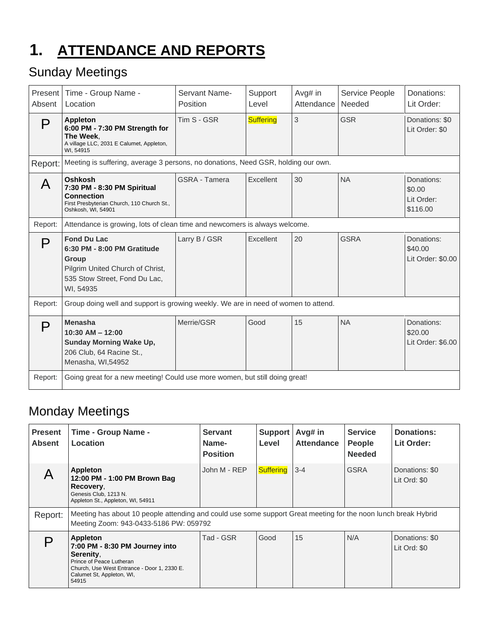# **1. ATTENDANCE AND REPORTS**

### Sunday Meetings

| Present<br>Absent | Time - Group Name -<br>Location                                                                                                                     | Servant Name-<br>Position | Support<br>Level | Avg# in<br>Attendance | Service People<br>Needed | Donations:<br>Lit Order:                       |  |
|-------------------|-----------------------------------------------------------------------------------------------------------------------------------------------------|---------------------------|------------------|-----------------------|--------------------------|------------------------------------------------|--|
| P                 | <b>Appleton</b><br>6:00 PM - 7:30 PM Strength for<br>The Week.<br>A village LLC, 2031 E Calumet, Appleton,<br>WI, 54915                             | Tim S - GSR               | <b>Suffering</b> | 3                     | <b>GSR</b>               | Donations: \$0<br>Lit Order: \$0               |  |
| Report:           | Meeting is suffering, average 3 persons, no donations, Need GSR, holding our own.                                                                   |                           |                  |                       |                          |                                                |  |
| A                 | Oshkosh<br>7:30 PM - 8:30 PM Spiritual<br><b>Connection</b><br>First Presbyterian Church, 110 Church St.,<br>Oshkosh, WI, 54901                     | <b>GSRA - Tamera</b>      | Excellent        | 30                    | <b>NA</b>                | Donations:<br>\$0.00<br>Lit Order:<br>\$116.00 |  |
| Report:           | Attendance is growing, lots of clean time and newcomers is always welcome.                                                                          |                           |                  |                       |                          |                                                |  |
| D                 | <b>Fond Du Lac</b><br>6:30 PM - 8:00 PM Gratitude<br><b>Group</b><br>Pilgrim United Church of Christ,<br>535 Stow Street, Fond Du Lac,<br>WI, 54935 | Larry B / GSR             | Excellent        | 20                    | <b>GSRA</b>              | Donations:<br>\$40.00<br>Lit Order: \$0.00     |  |
| Report:           | Group doing well and support is growing weekly. We are in need of women to attend.                                                                  |                           |                  |                       |                          |                                                |  |
| P                 | <b>Menasha</b><br>$10:30$ AM $- 12:00$<br><b>Sunday Morning Wake Up,</b><br>206 Club, 64 Racine St.,<br>Menasha, WI,54952                           | Merrie/GSR                | Good             | 15                    | <b>NA</b>                | Donations:<br>\$20.00<br>Lit Order: \$6.00     |  |
| Report:           | Going great for a new meeting! Could use more women, but still doing great!                                                                         |                           |                  |                       |                          |                                                |  |

### Monday Meetings

| <b>Present</b><br><b>Absent</b> | <b>Time - Group Name -</b><br>Location                                                                                                                                   | <b>Servant</b><br>Name-<br><b>Position</b> | Support<br>Level | Avg# in<br><b>Attendance</b> | <b>Service</b><br><b>People</b><br><b>Needed</b> | <b>Donations:</b><br>Lit Order: |
|---------------------------------|--------------------------------------------------------------------------------------------------------------------------------------------------------------------------|--------------------------------------------|------------------|------------------------------|--------------------------------------------------|---------------------------------|
| A                               | Appleton<br>12:00 PM - 1:00 PM Brown Bag<br>Recovery.<br>Genesis Club, 1213 N.<br>Appleton St., Appleton, WI, 54911                                                      | John M - REP                               | <b>Suffering</b> | $3 - 4$                      | <b>GSRA</b>                                      | Donations: \$0<br>Lit Ord: \$0  |
| Report:                         | Meeting has about 10 people attending and could use some support Great meeting for the noon lunch break Hybrid<br>Meeting Zoom: 943-0433-5186 PW: 059792                 |                                            |                  |                              |                                                  |                                 |
|                                 | Appleton<br>7:00 PM - 8:30 PM Journey into<br>Serenity.<br>Prince of Peace Lutheran<br>Church, Use West Entrance - Door 1, 2330 E.<br>Calumet St, Appleton, WI,<br>54915 | Tad - GSR                                  | Good             | 15                           | N/A                                              | Donations: \$0<br>Lit Ord: \$0  |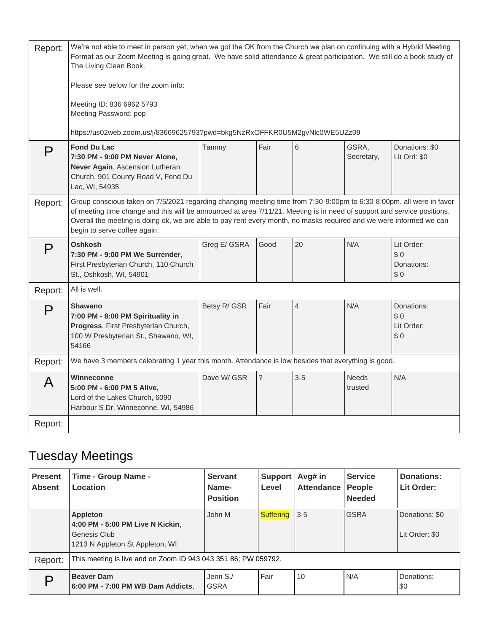| Report: | We're not able to meet in person yet, when we got the OK from the Church we plan on continuing with a Hybrid Meeting<br>Format as our Zoom Meeting is going great. We have solid attendance & great participation. We still do a book study of<br>The Living Clean Book.<br>Please see below for the zoom info:                                                                                        |              |             |                |                         |                                        |
|---------|--------------------------------------------------------------------------------------------------------------------------------------------------------------------------------------------------------------------------------------------------------------------------------------------------------------------------------------------------------------------------------------------------------|--------------|-------------|----------------|-------------------------|----------------------------------------|
|         | Meeting ID: 836 6962 5793<br>Meeting Password: pop                                                                                                                                                                                                                                                                                                                                                     |              |             |                |                         |                                        |
| P       | https://us02web.zoom.us/j/83669625793?pwd=bkg5NzRxOFFKR0U5M2gvNlc0WE5UZz09<br><b>Fond Du Lac</b><br>7:30 PM - 9:00 PM Never Alone,<br>Never Again, Ascension Lutheran<br>Church, 901 County Road V, Fond Du<br>Lac, WI, 54935                                                                                                                                                                          | Tammy        | Fair        | 6              | GSRA,<br>Secretary,     | Donations: \$0<br>Lit Ord: \$0         |
| Report: | Group conscious taken on 7/5/2021 regarding changing meeting time from 7:30-9:00pm to 6:30-8:00pm. all were in favor<br>of meeting time change and this will be announced at area 7/11/21. Meeting is in need of support and service positions.<br>Overall the meeting is doing ok, we are able to pay rent every month, no masks required and we were informed we can<br>begin to serve coffee again. |              |             |                |                         |                                        |
| P       | Oshkosh<br>7:30 PM - 9:00 PM We Surrender,<br>First Presbyterian Church, 110 Church<br>St., Oshkosh, WI, 54901                                                                                                                                                                                                                                                                                         | Greg E/ GSRA | Good        | 20             | N/A                     | Lit Order:<br>\$0<br>Donations:<br>\$0 |
| Report: | All is well.                                                                                                                                                                                                                                                                                                                                                                                           |              |             |                |                         |                                        |
| P       | <b>Shawano</b><br>7:00 PM - 8:00 PM Spirituality in<br>Progress, First Presbyterian Church,<br>100 W Presbyterian St., Shawano, WI,<br>54166                                                                                                                                                                                                                                                           | Betsy R/ GSR | Fair        | $\overline{4}$ | N/A                     | Donations:<br>\$0<br>Lit Order:<br>\$0 |
| Report: | We have 3 members celebrating 1 year this month. Attendance is low besides that everything is good.                                                                                                                                                                                                                                                                                                    |              |             |                |                         |                                        |
| A       | Winneconne<br>5:00 PM - 6:00 PM 5 Alive,<br>Lord of the Lakes Church, 6090<br>Harbour S Dr, Winneconne, WI, 54986                                                                                                                                                                                                                                                                                      | Dave W/ GSR  | $\tilde{?}$ | $3-5$          | <b>Needs</b><br>trusted | N/A                                    |
| Report: |                                                                                                                                                                                                                                                                                                                                                                                                        |              |             |                |                         |                                        |

# Tuesday Meetings

| <b>Present</b><br><b>Absent</b> | Time - Group Name -<br>Location                                                                 | <b>Servant</b><br>Name-<br><b>Position</b> | Support<br>Level | Avg# in<br><b>Attendance</b> | <b>Service</b><br>People<br><b>Needed</b> | Donations:<br>Lit Order:         |
|---------------------------------|-------------------------------------------------------------------------------------------------|--------------------------------------------|------------------|------------------------------|-------------------------------------------|----------------------------------|
|                                 | Appleton<br>4:00 PM - 5:00 PM Live N Kickin.<br>Genesis Club<br>1213 N Appleton St Appleton, WI | John M                                     | Suffering 3-5    |                              | <b>GSRA</b>                               | Donations: \$0<br>Lit Order: \$0 |
| Report:                         | This meeting is live and on Zoom ID 943 043 351 86; PW 059792.                                  |                                            |                  |                              |                                           |                                  |
|                                 | <b>Beaver Dam</b><br>6:00 PM - 7:00 PM WB Dam Addicts,                                          | Jenn S./<br><b>GSRA</b>                    | Fair             | 10                           | N/A                                       | Donations:<br>\$0                |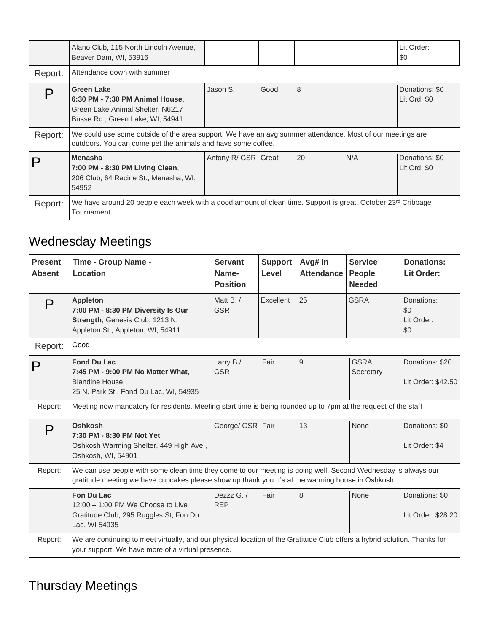|         | Alano Club, 115 North Lincoln Avenue,<br>Beaver Dam, WI, 53916                                                                                                                                                                            |                     |      |               |     | Lit Order:<br>\$0              |
|---------|-------------------------------------------------------------------------------------------------------------------------------------------------------------------------------------------------------------------------------------------|---------------------|------|---------------|-----|--------------------------------|
| Report: | Attendance down with summer                                                                                                                                                                                                               |                     |      |               |     |                                |
| Report: | <b>Green Lake</b><br>6:30 PM - 7:30 PM Animal House.<br>Green Lake Animal Shelter, N6217<br>Busse Rd., Green Lake, WI, 54941<br>We could use some outside of the area support. We have an avg summer attendance. Most of our meetings are | Jason S.            | Good | $\mathcal{B}$ |     | Donations: \$0<br>Lit Ord: \$0 |
|         | outdoors. You can come pet the animals and have some coffee.<br><b>Menasha</b><br>7:00 PM - 8:30 PM Living Clean,<br>206 Club, 64 Racine St., Menasha, WI,<br>54952                                                                       | Antony R/ GSR Great |      | 20            | N/A | Donations: \$0<br>Lit Ord: \$0 |
| Report: | We have around 20 people each week with a good amount of clean time. Support is great. October 23 <sup>rd</sup> Cribbage<br>Tournament.                                                                                                   |                     |      |               |     |                                |

# Wednesday Meetings

| <b>Present</b><br><b>Absent</b> | Time - Group Name -<br>Location                                                                                                                                                                                   | <b>Servant</b><br>Name-<br><b>Position</b> | <b>Support</b><br>Level | Avg# in<br><b>Attendance</b> | <b>Service</b><br><b>People</b><br><b>Needed</b> | <b>Donations:</b><br>Lit Order:        |
|---------------------------------|-------------------------------------------------------------------------------------------------------------------------------------------------------------------------------------------------------------------|--------------------------------------------|-------------------------|------------------------------|--------------------------------------------------|----------------------------------------|
| P                               | <b>Appleton</b><br>7:00 PM - 8:30 PM Diversity Is Our<br>Strength, Genesis Club, 1213 N.<br>Appleton St., Appleton, WI, 54911                                                                                     | Matt B./<br><b>GSR</b>                     | Excellent               | 25                           | <b>GSRA</b>                                      | Donations:<br>\$0<br>Lit Order:<br>\$0 |
| Report:                         | Good                                                                                                                                                                                                              |                                            |                         |                              |                                                  |                                        |
| Р                               | <b>Fond Du Lac</b><br>7:45 PM - 9:00 PM No Matter What,<br><b>Blandine House,</b><br>25 N. Park St., Fond Du Lac, WI, 54935                                                                                       | Larry B./<br><b>GSR</b>                    | Fair                    | 9                            | <b>GSRA</b><br>Secretary                         | Donations: \$20<br>Lit Order: \$42.50  |
| Report:                         | Meeting now mandatory for residents. Meeting start time is being rounded up to 7pm at the request of the staff                                                                                                    |                                            |                         |                              |                                                  |                                        |
| P                               | Oshkosh<br>7:30 PM - 8:30 PM Not Yet,<br>Oshkosh Warming Shelter, 449 High Ave.,<br>Oshkosh, WI, 54901                                                                                                            | George/ GSR Fair                           |                         | 13                           | None                                             | Donations: \$0<br>Lit Order: \$4       |
| Report:                         | We can use people with some clean time they come to our meeting is going well. Second Wednesday is always our<br>gratitude meeting we have cupcakes please show up thank you It's at the warming house in Oshkosh |                                            |                         |                              |                                                  |                                        |
|                                 | Fon Du Lac<br>$12:00 - 1:00$ PM We Choose to Live<br>Gratitude Club, 295 Ruggles St, Fon Du<br>Lac, WI 54935                                                                                                      | Dezzz $G_{1}$<br><b>REP</b>                | Fair                    | 8                            | <b>None</b>                                      | Donations: \$0<br>Lit Order: \$28.20   |
| Report:                         | We are continuing to meet virtually, and our physical location of the Gratitude Club offers a hybrid solution. Thanks for<br>your support. We have more of a virtual presence.                                    |                                            |                         |                              |                                                  |                                        |

### Thursday Meetings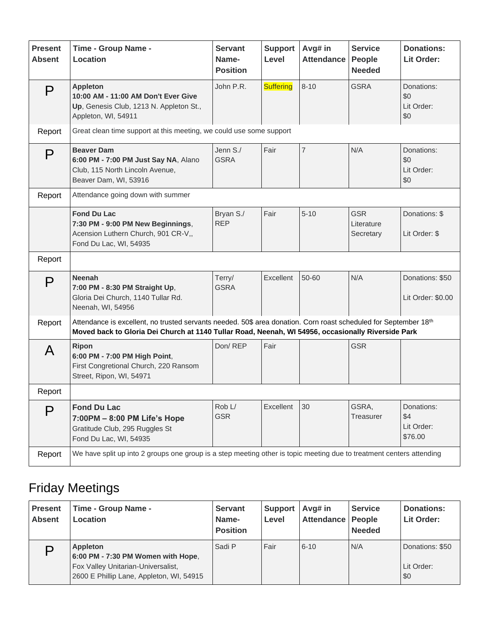| <b>Present</b><br><b>Absent</b> | Time - Group Name -<br>Location                                                                                                                                                                                        | <b>Servant</b><br>Name-<br><b>Position</b> | <b>Support</b><br>Level | Avg# in<br><b>Attendance</b> | <b>Service</b><br>People<br><b>Needed</b> | <b>Donations:</b><br>Lit Order:            |
|---------------------------------|------------------------------------------------------------------------------------------------------------------------------------------------------------------------------------------------------------------------|--------------------------------------------|-------------------------|------------------------------|-------------------------------------------|--------------------------------------------|
| P                               | <b>Appleton</b><br>10:00 AM - 11:00 AM Don't Ever Give<br>Up, Genesis Club, 1213 N. Appleton St.,<br>Appleton, WI, 54911                                                                                               | John P.R.                                  | <b>Suffering</b>        | $8 - 10$                     | <b>GSRA</b>                               | Donations:<br>\$0<br>Lit Order:<br>\$0     |
| Report                          | Great clean time support at this meeting, we could use some support                                                                                                                                                    |                                            |                         |                              |                                           |                                            |
| P                               | <b>Beaver Dam</b><br>6:00 PM - 7:00 PM Just Say NA, Alano<br>Club, 115 North Lincoln Avenue,<br>Beaver Dam, WI, 53916                                                                                                  | Jenn S./<br><b>GSRA</b>                    | Fair                    | $\overline{7}$               | N/A                                       | Donations:<br>\$0<br>Lit Order:<br>\$0     |
| Report                          | Attendance going down with summer                                                                                                                                                                                      |                                            |                         |                              |                                           |                                            |
|                                 | <b>Fond Du Lac</b><br>7:30 PM - 9:00 PM New Beginnings,<br>Acension Luthern Church, 901 CR-V,,<br>Fond Du Lac, WI, 54935                                                                                               | Bryan S./<br><b>REP</b>                    | Fair                    | $5 - 10$                     | <b>GSR</b><br>Literature<br>Secretary     | Donations: \$<br>Lit Order: \$             |
| Report                          |                                                                                                                                                                                                                        |                                            |                         |                              |                                           |                                            |
| P                               | <b>Neenah</b><br>7:00 PM - 8:30 PM Straight Up,<br>Gloria Dei Church, 1140 Tullar Rd.<br>Neenah, WI, 54956                                                                                                             | Terry/<br><b>GSRA</b>                      | Excellent               | 50-60                        | N/A                                       | Donations: \$50<br>Lit Order: \$0.00       |
| Report                          | Attendance is excellent, no trusted servants needed. 50\$ area donation. Corn roast scheduled for September 18th<br>Moved back to Gloria Dei Church at 1140 Tullar Road, Neenah, WI 54956, occasionally Riverside Park |                                            |                         |                              |                                           |                                            |
| A                               | <b>Ripon</b><br>6:00 PM - 7:00 PM High Point,<br>First Congretional Church, 220 Ransom<br>Street, Ripon, WI, 54971                                                                                                     | Don/REP                                    | Fair                    |                              | <b>GSR</b>                                |                                            |
| Report                          |                                                                                                                                                                                                                        |                                            |                         |                              |                                           |                                            |
| P                               | <b>Fond Du Lac</b><br>7:00PM - 8:00 PM Life's Hope<br>Gratitude Club, 295 Ruggles St<br>Fond Du Lac, WI, 54935                                                                                                         | Rob L/<br><b>GSR</b>                       | Excellent               | 30                           | GSRA,<br>Treasurer                        | Donations:<br>\$4<br>Lit Order:<br>\$76.00 |
| Report                          | We have split up into 2 groups one group is a step meeting other is topic meeting due to treatment centers attending                                                                                                   |                                            |                         |                              |                                           |                                            |

# Friday Meetings

| <b>Present</b><br><b>Absent</b> | Time - Group Name -<br>Location                                                                                                         | <b>Servant</b><br>Name-<br><b>Position</b> | <b>Support</b><br>Level | Avg# in<br>Attendance   People | <b>Service</b><br><b>Needed</b> | <b>Donations:</b><br>Lit Order:      |
|---------------------------------|-----------------------------------------------------------------------------------------------------------------------------------------|--------------------------------------------|-------------------------|--------------------------------|---------------------------------|--------------------------------------|
|                                 | <b>Appleton</b><br>6:00 PM - 7:30 PM Women with Hope,<br>Fox Valley Unitarian-Universalist,<br>2600 E Phillip Lane, Appleton, WI, 54915 | Sadi P                                     | Fair                    | $6 - 10$                       | N/A                             | Donations: \$50<br>Lit Order:<br>\$0 |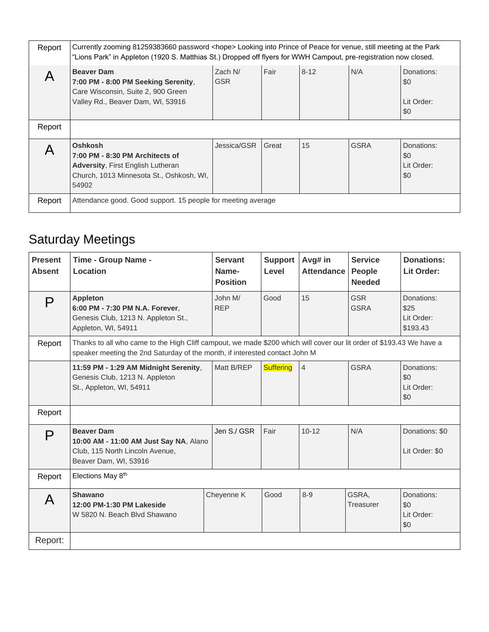| Report | Currently zooming 81259383660 password <hope> Looking into Prince of Peace for venue, still meeting at the Park<br/>"Lions Park" in Appleton (1920 S. Matthias St.) Dropped off flyers for WWH Campout, pre-registration now closed.</hope> |                       |       |          |             |                                        |  |
|--------|---------------------------------------------------------------------------------------------------------------------------------------------------------------------------------------------------------------------------------------------|-----------------------|-------|----------|-------------|----------------------------------------|--|
|        | <b>Beaver Dam</b><br>7:00 PM - 8:00 PM Seeking Serenity,<br>Care Wisconsin, Suite 2, 900 Green<br>Valley Rd., Beaver Dam, WI, 53916                                                                                                         | Zach N/<br><b>GSR</b> | Fair  | $8 - 12$ | N/A         | Donations:<br>\$0<br>Lit Order:<br>\$0 |  |
| Report |                                                                                                                                                                                                                                             |                       |       |          |             |                                        |  |
|        | <b>Oshkosh</b><br>7:00 PM - 8:30 PM Architects of<br><b>Adversity, First English Lutheran</b><br>Church, 1013 Minnesota St., Oshkosh, WI,<br>54902                                                                                          | Jessica/GSR           | Great | 15       | <b>GSRA</b> | Donations:<br>\$0<br>Lit Order:<br>\$0 |  |
| Report | Attendance good. Good support. 15 people for meeting average                                                                                                                                                                                |                       |       |          |             |                                        |  |

# Saturday Meetings

| <b>Present</b><br><b>Absent</b> | Time - Group Name -<br>Location                                                                                                                                                                     | <b>Servant</b><br>Name-<br><b>Position</b> | <b>Support</b><br>Level | Avg# in<br><b>Attendance</b> | <b>Service</b><br>People<br><b>Needed</b> | Donations:<br>Lit Order:                     |
|---------------------------------|-----------------------------------------------------------------------------------------------------------------------------------------------------------------------------------------------------|--------------------------------------------|-------------------------|------------------------------|-------------------------------------------|----------------------------------------------|
| P                               | <b>Appleton</b><br>6:00 PM - 7:30 PM N.A. Forever,<br>Genesis Club, 1213 N. Appleton St.,<br>Appleton, WI, 54911                                                                                    | John M/<br><b>REP</b>                      | Good                    | 15                           | <b>GSR</b><br><b>GSRA</b>                 | Donations:<br>\$25<br>Lit Order:<br>\$193.43 |
| Report                          | Thanks to all who came to the High Cliff campout, we made \$200 which will cover our lit order of \$193.43 We have a<br>speaker meeting the 2nd Saturday of the month, if interested contact John M |                                            |                         |                              |                                           |                                              |
|                                 | 11:59 PM - 1:29 AM Midnight Serenity,<br>Genesis Club, 1213 N. Appleton<br>St., Appleton, WI, 54911                                                                                                 | Matt B/REP                                 | <b>Suffering</b>        | $\overline{4}$               | GSRA                                      | Donations:<br>\$0<br>Lit Order:<br>\$0       |
| Report                          |                                                                                                                                                                                                     |                                            |                         |                              |                                           |                                              |
| P                               | <b>Beaver Dam</b><br>10:00 AM - 11:00 AM Just Say NA, Alano<br>Club, 115 North Lincoln Avenue,<br>Beaver Dam, WI, 53916                                                                             | Jen S./ GSR                                | Fair                    | $10 - 12$                    | N/A                                       | Donations: \$0<br>Lit Order: \$0             |
| Report                          | Elections May 8th                                                                                                                                                                                   |                                            |                         |                              |                                           |                                              |
| A                               | Shawano<br>12:00 PM-1:30 PM Lakeside<br>W 5820 N. Beach Blvd Shawano                                                                                                                                | Cheyenne K                                 | Good                    | $8 - 9$                      | GSRA.<br>Treasurer                        | Donations:<br>\$0<br>Lit Order:<br>\$0       |
| Report:                         |                                                                                                                                                                                                     |                                            |                         |                              |                                           |                                              |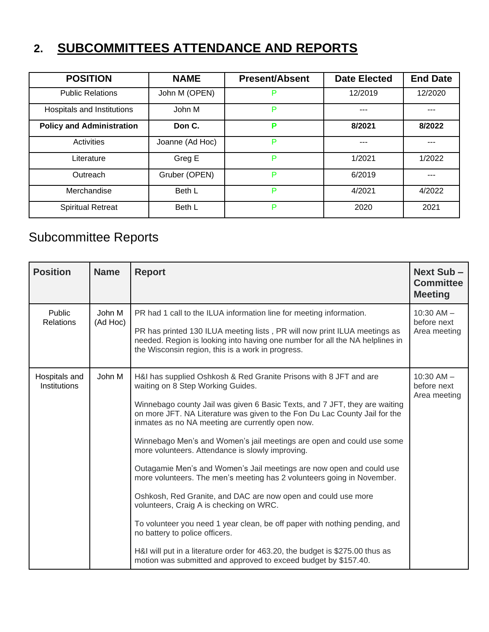# **2. SUBCOMMITTEES ATTENDANCE AND REPORTS**

| <b>POSITION</b>                  | <b>NAME</b>     | <b>Present/Absent</b> | <b>Date Elected</b> | <b>End Date</b> |
|----------------------------------|-----------------|-----------------------|---------------------|-----------------|
| <b>Public Relations</b>          | John M (OPEN)   | P                     | 12/2019             | 12/2020         |
| Hospitals and Institutions       | John M          | P                     | ---                 | ---             |
| <b>Policy and Administration</b> | Don C.          | P                     | 8/2021              | 8/2022          |
| Activities                       | Joanne (Ad Hoc) | P                     | ---                 | ---             |
| Literature                       | Greg E          | P                     | 1/2021              | 1/2022          |
| Outreach                         | Gruber (OPEN)   | P                     | 6/2019              |                 |
| Merchandise                      | Beth L          | P                     | 4/2021              | 4/2022          |
| <b>Spiritual Retreat</b>         | Beth L          | P                     | 2020                | 2021            |

### Subcommittee Reports

| <b>Position</b>               | <b>Name</b>        | <b>Report</b>                                                                                                                                                                                                                                                                         | Next Sub-<br><b>Committee</b><br><b>Meeting</b> |
|-------------------------------|--------------------|---------------------------------------------------------------------------------------------------------------------------------------------------------------------------------------------------------------------------------------------------------------------------------------|-------------------------------------------------|
| Public<br><b>Relations</b>    | John M<br>(Ad Hoc) | PR had 1 call to the ILUA information line for meeting information.<br>PR has printed 130 ILUA meeting lists, PR will now print ILUA meetings as<br>needed. Region is looking into having one number for all the NA helplines in<br>the Wisconsin region, this is a work in progress. | $10:30$ AM $-$<br>before next<br>Area meeting   |
| Hospitals and<br>Institutions | John M             | H&I has supplied Oshkosh & Red Granite Prisons with 8 JFT and are<br>waiting on 8 Step Working Guides.                                                                                                                                                                                | $10:30$ AM $-$<br>before next<br>Area meeting   |
|                               |                    | Winnebago county Jail was given 6 Basic Texts, and 7 JFT, they are waiting<br>on more JFT. NA Literature was given to the Fon Du Lac County Jail for the<br>inmates as no NA meeting are currently open now.                                                                          |                                                 |
|                               |                    | Winnebago Men's and Women's jail meetings are open and could use some<br>more volunteers. Attendance is slowly improving.                                                                                                                                                             |                                                 |
|                               |                    | Outagamie Men's and Women's Jail meetings are now open and could use<br>more volunteers. The men's meeting has 2 volunteers going in November.                                                                                                                                        |                                                 |
|                               |                    | Oshkosh, Red Granite, and DAC are now open and could use more<br>volunteers, Craig A is checking on WRC.                                                                                                                                                                              |                                                 |
|                               |                    | To volunteer you need 1 year clean, be off paper with nothing pending, and<br>no battery to police officers.                                                                                                                                                                          |                                                 |
|                               |                    | H&I will put in a literature order for 463.20, the budget is \$275.00 thus as<br>motion was submitted and approved to exceed budget by \$157.40.                                                                                                                                      |                                                 |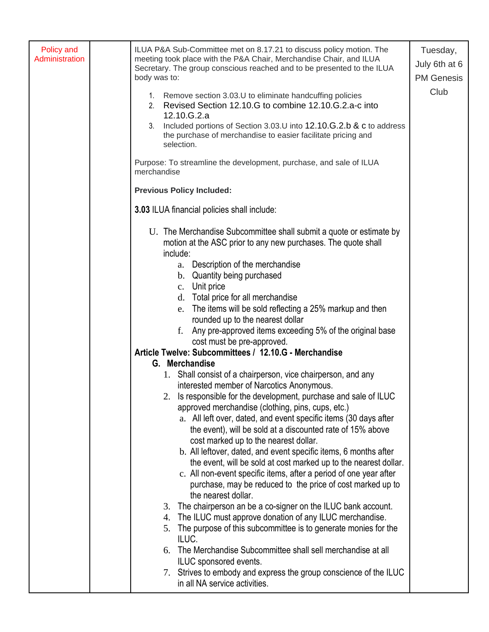| 1. Remove section 3.03.U to eliminate handcuffing policies<br>2. Revised Section 12.10.G to combine 12.10.G.2.a-c into<br>12.10.G.2.a<br>Included portions of Section 3.03.U into 12.10.G.2.b & c to address<br>the purchase of merchandise to easier facilitate pricing and<br>selection.                                                                                                                                                                                                                                                                                                                                                                                                                                                                                                                                                                                                                                                                                                                                                                                                                                                                                                                                                                                                                                                                                                                                                                                                                                                                                                                                                    | <b>PM Genesis</b><br>Club |
|-----------------------------------------------------------------------------------------------------------------------------------------------------------------------------------------------------------------------------------------------------------------------------------------------------------------------------------------------------------------------------------------------------------------------------------------------------------------------------------------------------------------------------------------------------------------------------------------------------------------------------------------------------------------------------------------------------------------------------------------------------------------------------------------------------------------------------------------------------------------------------------------------------------------------------------------------------------------------------------------------------------------------------------------------------------------------------------------------------------------------------------------------------------------------------------------------------------------------------------------------------------------------------------------------------------------------------------------------------------------------------------------------------------------------------------------------------------------------------------------------------------------------------------------------------------------------------------------------------------------------------------------------|---------------------------|
| Purpose: To streamline the development, purchase, and sale of ILUA                                                                                                                                                                                                                                                                                                                                                                                                                                                                                                                                                                                                                                                                                                                                                                                                                                                                                                                                                                                                                                                                                                                                                                                                                                                                                                                                                                                                                                                                                                                                                                            |                           |
| <b>Previous Policy Included:</b>                                                                                                                                                                                                                                                                                                                                                                                                                                                                                                                                                                                                                                                                                                                                                                                                                                                                                                                                                                                                                                                                                                                                                                                                                                                                                                                                                                                                                                                                                                                                                                                                              |                           |
| 3.03 ILUA financial policies shall include:                                                                                                                                                                                                                                                                                                                                                                                                                                                                                                                                                                                                                                                                                                                                                                                                                                                                                                                                                                                                                                                                                                                                                                                                                                                                                                                                                                                                                                                                                                                                                                                                   |                           |
| U. The Merchandise Subcommittee shall submit a quote or estimate by<br>motion at the ASC prior to any new purchases. The quote shall<br>include:<br>a. Description of the merchandise<br>b. Quantity being purchased<br>c. Unit price<br>d. Total price for all merchandise<br>e. The items will be sold reflecting a 25% markup and then<br>rounded up to the nearest dollar<br>Any pre-approved items exceeding 5% of the original base<br>cost must be pre-approved.<br>Article Twelve: Subcommittees / 12.10.G - Merchandise<br>G. Merchandise<br>1. Shall consist of a chairperson, vice chairperson, and any<br>interested member of Narcotics Anonymous.<br>Is responsible for the development, purchase and sale of ILUC<br>approved merchandise (clothing, pins, cups, etc.)<br>a. All left over, dated, and event specific items (30 days after<br>the event), will be sold at a discounted rate of 15% above<br>cost marked up to the nearest dollar.<br>b. All leftover, dated, and event specific items, 6 months after<br>the event, will be sold at cost marked up to the nearest dollar.<br>c. All non-event specific items, after a period of one year after<br>purchase, may be reduced to the price of cost marked up to<br>the nearest dollar.<br>3. The chairperson an be a co-signer on the ILUC bank account.<br>4. The ILUC must approve donation of any ILUC merchandise.<br>5. The purpose of this subcommittee is to generate monies for the<br>ILUC.<br>The Merchandise Subcommittee shall sell merchandise at all<br>ILUC sponsored events.<br>7. Strives to embody and express the group conscience of the ILUC |                           |
|                                                                                                                                                                                                                                                                                                                                                                                                                                                                                                                                                                                                                                                                                                                                                                                                                                                                                                                                                                                                                                                                                                                                                                                                                                                                                                                                                                                                                                                                                                                                                                                                                                               |                           |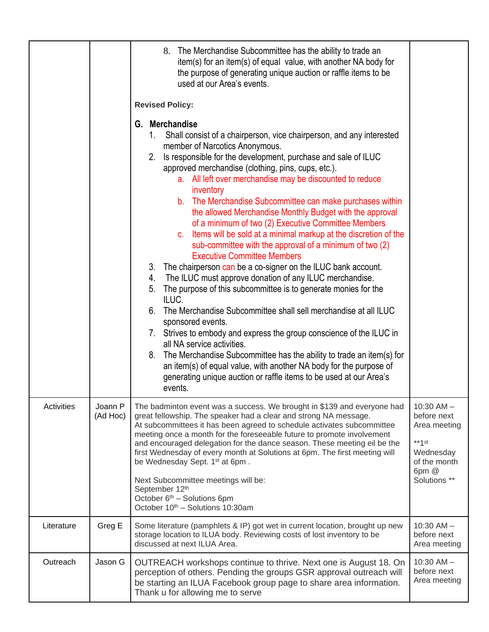|            |                     | 8. The Merchandise Subcommittee has the ability to trade an<br>item(s) for an item(s) of equal value, with another NA body for<br>the purpose of generating unique auction or raffle items to be<br>used at our Area's events.<br><b>Revised Policy:</b><br><b>Merchandise</b><br>G.<br>Shall consist of a chairperson, vice chairperson, and any interested<br>member of Narcotics Anonymous.<br>Is responsible for the development, purchase and sale of ILUC<br>2.<br>approved merchandise (clothing, pins, cups, etc.).<br>a. All left over merchandise may be discounted to reduce<br>inventory<br>b. The Merchandise Subcommittee can make purchases within<br>the allowed Merchandise Monthly Budget with the approval<br>of a minimum of two (2) Executive Committee Members<br>c. Items will be sold at a minimal markup at the discretion of the<br>sub-committee with the approval of a minimum of two (2)<br><b>Executive Committee Members</b><br>3. The chairperson can be a co-signer on the ILUC bank account.<br>4. The ILUC must approve donation of any ILUC merchandise.<br>The purpose of this subcommittee is to generate monies for the<br>5.<br>ILUC.<br>6. The Merchandise Subcommittee shall sell merchandise at all ILUC<br>sponsored events.<br>7. Strives to embody and express the group conscience of the ILUC in<br>all NA service activities.<br>8. The Merchandise Subcommittee has the ability to trade an item(s) for<br>an item(s) of equal value, with another NA body for the purpose of<br>generating unique auction or raffle items to be used at our Area's<br>events. |                                                                                                                        |
|------------|---------------------|------------------------------------------------------------------------------------------------------------------------------------------------------------------------------------------------------------------------------------------------------------------------------------------------------------------------------------------------------------------------------------------------------------------------------------------------------------------------------------------------------------------------------------------------------------------------------------------------------------------------------------------------------------------------------------------------------------------------------------------------------------------------------------------------------------------------------------------------------------------------------------------------------------------------------------------------------------------------------------------------------------------------------------------------------------------------------------------------------------------------------------------------------------------------------------------------------------------------------------------------------------------------------------------------------------------------------------------------------------------------------------------------------------------------------------------------------------------------------------------------------------------------------------------------------------------------------------------------------------------|------------------------------------------------------------------------------------------------------------------------|
| Activities | Joann P<br>(Ad Hoc) | The badminton event was a success. We brought in \$139 and everyone had<br>great fellowship. The speaker had a clear and strong NA message.<br>At subcommittees it has been agreed to schedule activates subcommittee<br>meeting once a month for the foreseeable future to promote involvement<br>and encouraged delegation for the dance season. These meeting eil be the<br>first Wednesday of every month at Solutions at 6pm. The first meeting will<br>be Wednesday Sept. 1 <sup>st</sup> at 6pm.<br>Next Subcommittee meetings will be:<br>September 12th<br>October 6 <sup>th</sup> - Solutions 6pm<br>October 10th - Solutions 10:30am                                                                                                                                                                                                                                                                                                                                                                                                                                                                                                                                                                                                                                                                                                                                                                                                                                                                                                                                                                  | $10:30$ AM $-$<br>before next<br>Area meeting<br>$**\uparrow$ st<br>Wednesday<br>of the month<br>6pm @<br>Solutions ** |
| Literature | Greg E              | Some literature (pamphlets & IP) got wet in current location, brought up new<br>storage location to ILUA body. Reviewing costs of lost inventory to be<br>discussed at next ILUA Area.                                                                                                                                                                                                                                                                                                                                                                                                                                                                                                                                                                                                                                                                                                                                                                                                                                                                                                                                                                                                                                                                                                                                                                                                                                                                                                                                                                                                                           | $10:30$ AM $-$<br>before next<br>Area meeting                                                                          |
| Outreach   | Jason G             | OUTREACH workshops continue to thrive. Next one is August 18. On<br>perception of others. Pending the groups GSR approval outreach will<br>be starting an ILUA Facebook group page to share area information.<br>Thank u for allowing me to serve                                                                                                                                                                                                                                                                                                                                                                                                                                                                                                                                                                                                                                                                                                                                                                                                                                                                                                                                                                                                                                                                                                                                                                                                                                                                                                                                                                | $10:30$ AM $-$<br>before next<br>Area meeting                                                                          |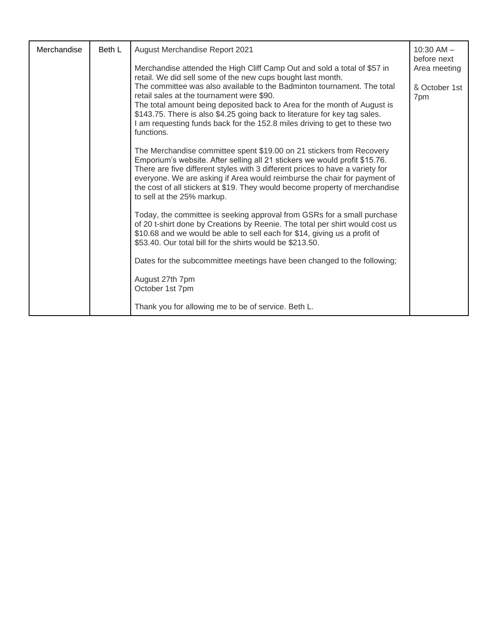| Merchandise | Beth L | August Merchandise Report 2021                                                                                                                                                                                                                                                                                                                                                                                               |                      |
|-------------|--------|------------------------------------------------------------------------------------------------------------------------------------------------------------------------------------------------------------------------------------------------------------------------------------------------------------------------------------------------------------------------------------------------------------------------------|----------------------|
|             |        | Merchandise attended the High Cliff Camp Out and sold a total of \$57 in<br>retail. We did sell some of the new cups bought last month.                                                                                                                                                                                                                                                                                      | Area meeting         |
|             |        | The committee was also available to the Badminton tournament. The total<br>retail sales at the tournament were \$90.                                                                                                                                                                                                                                                                                                         | & October 1st<br>7pm |
|             |        | The total amount being deposited back to Area for the month of August is<br>\$143.75. There is also \$4.25 going back to literature for key tag sales.<br>I am requesting funds back for the 152.8 miles driving to get to these two<br>functions.                                                                                                                                                                           |                      |
|             |        | The Merchandise committee spent \$19.00 on 21 stickers from Recovery<br>Emporium's website. After selling all 21 stickers we would profit \$15.76.<br>There are five different styles with 3 different prices to have a variety for<br>everyone. We are asking if Area would reimburse the chair for payment of<br>the cost of all stickers at \$19. They would become property of merchandise<br>to sell at the 25% markup. |                      |
|             |        | Today, the committee is seeking approval from GSRs for a small purchase<br>of 20 t-shirt done by Creations by Reenie. The total per shirt would cost us<br>\$10.68 and we would be able to sell each for \$14, giving us a profit of<br>\$53.40. Our total bill for the shirts would be \$213.50.                                                                                                                            |                      |
|             |        | Dates for the subcommittee meetings have been changed to the following;                                                                                                                                                                                                                                                                                                                                                      |                      |
|             |        | August 27th 7pm<br>October 1st 7pm                                                                                                                                                                                                                                                                                                                                                                                           |                      |
|             |        | Thank you for allowing me to be of service. Beth L.                                                                                                                                                                                                                                                                                                                                                                          |                      |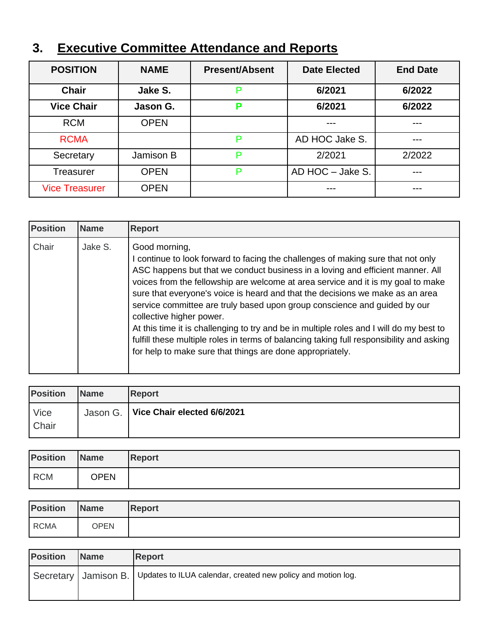| <b>Executive Committee Attendance and Reports</b><br>3. |  |
|---------------------------------------------------------|--|
|---------------------------------------------------------|--|

| <b>POSITION</b>         | <b>NAME</b> | <b>Present/Absent</b> | <b>Date Elected</b> | <b>End Date</b> |
|-------------------------|-------------|-----------------------|---------------------|-----------------|
| Jake S.<br><b>Chair</b> |             | P                     | 6/2021              | 6/2022          |
| <b>Vice Chair</b>       | Jason G.    | Р                     | 6/2021              | 6/2022          |
| <b>RCM</b>              | <b>OPEN</b> |                       |                     |                 |
| <b>RCMA</b>             |             | P                     | AD HOC Jake S.      | ---             |
| Secretary               | Jamison B   | P                     | 2/2021              | 2/2022          |
| <b>Treasurer</b>        | <b>OPEN</b> | AD HOC - Jake S.<br>P |                     | ---             |
| <b>Vice Treasurer</b>   | <b>OPEN</b> |                       |                     |                 |

| <b>Position</b> | <b>Name</b> | <b>Report</b>                                                                                                                                                                                                                                                                                                                                                                                                                                                                                                                                                                                                                                                                                                         |
|-----------------|-------------|-----------------------------------------------------------------------------------------------------------------------------------------------------------------------------------------------------------------------------------------------------------------------------------------------------------------------------------------------------------------------------------------------------------------------------------------------------------------------------------------------------------------------------------------------------------------------------------------------------------------------------------------------------------------------------------------------------------------------|
| Chair           | Jake S.     | Good morning,<br>I continue to look forward to facing the challenges of making sure that not only<br>ASC happens but that we conduct business in a loving and efficient manner. All<br>voices from the fellowship are welcome at area service and it is my goal to make<br>sure that everyone's voice is heard and that the decisions we make as an area<br>service committee are truly based upon group conscience and guided by our<br>collective higher power.<br>At this time it is challenging to try and be in multiple roles and I will do my best to<br>fulfill these multiple roles in terms of balancing taking full responsibility and asking<br>for help to make sure that things are done appropriately. |

| <b>Position</b> | <b>Name</b> | <b>Report</b>                          |
|-----------------|-------------|----------------------------------------|
| Vice            |             | Jason G.   Vice Chair elected 6/6/2021 |
| Chair           |             |                                        |

| <b>Position</b> | <b>Name</b> | <b>Report</b> |
|-----------------|-------------|---------------|
| <b>RCM</b>      | <b>OPEN</b> |               |

| <b>Position</b> | <b>Name</b> | <b>Report</b> |
|-----------------|-------------|---------------|
| <b>RCMA</b>     | <b>OPEN</b> |               |

| <b>Position</b> | <b>Name</b> | <b>Report</b>                                                                         |
|-----------------|-------------|---------------------------------------------------------------------------------------|
|                 |             | Secretary   Jamison B.   Updates to ILUA calendar, created new policy and motion log. |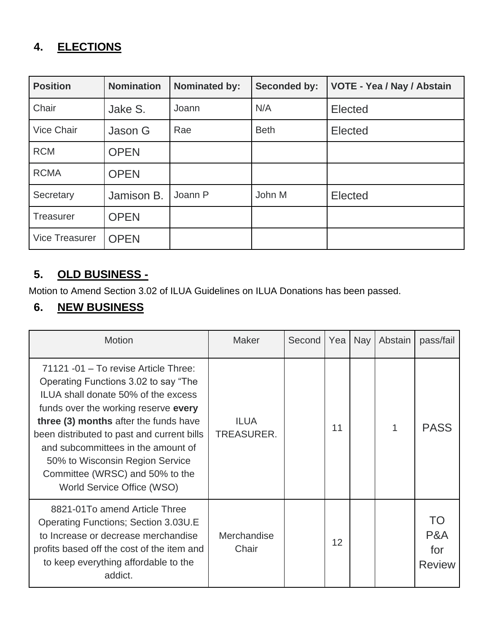### **4. ELECTIONS**

| <b>Position</b>       | <b>Nomination</b> | <b>Nominated by:</b> | <b>Seconded by:</b> | VOTE - Yea / Nay / Abstain |
|-----------------------|-------------------|----------------------|---------------------|----------------------------|
| Chair                 | Jake S.           | Joann                | N/A                 | Elected                    |
| Vice Chair            | Jason G           | Rae                  | <b>Beth</b>         | Elected                    |
| <b>RCM</b>            | <b>OPEN</b>       |                      |                     |                            |
| <b>RCMA</b>           | <b>OPEN</b>       |                      |                     |                            |
| Secretary             | Jamison B.        | Joann P              | John M              | Elected                    |
| <b>Treasurer</b>      | <b>OPEN</b>       |                      |                     |                            |
| <b>Vice Treasurer</b> | <b>OPEN</b>       |                      |                     |                            |

#### **5. OLD BUSINESS -**

Motion to Amend Section 3.02 of ILUA Guidelines on ILUA Donations has been passed.

#### **6. NEW BUSINESS**

| <b>Motion</b>                                                                                                                                                                                                                                                                                                                                                                                | <b>Maker</b>                     | Second | Yea | <b>Nay</b> | Abstain | pass/fail                         |
|----------------------------------------------------------------------------------------------------------------------------------------------------------------------------------------------------------------------------------------------------------------------------------------------------------------------------------------------------------------------------------------------|----------------------------------|--------|-----|------------|---------|-----------------------------------|
| 71121 -01 - To revise Article Three:<br>Operating Functions 3.02 to say "The<br>ILUA shall donate 50% of the excess<br>funds over the working reserve every<br>three (3) months after the funds have<br>been distributed to past and current bills<br>and subcommittees in the amount of<br>50% to Wisconsin Region Service<br>Committee (WRSC) and 50% to the<br>World Service Office (WSO) | <b>ILUA</b><br><b>TREASURER.</b> |        | 11  |            |         | <b>PASS</b>                       |
| 8821-01To amend Article Three<br><b>Operating Functions; Section 3.03U.E</b><br>to Increase or decrease merchandise<br>profits based off the cost of the item and<br>to keep everything affordable to the<br>addict.                                                                                                                                                                         | Merchandise<br>Chair             |        | 12  |            |         | TΟ<br>P&A<br>for<br><b>Review</b> |